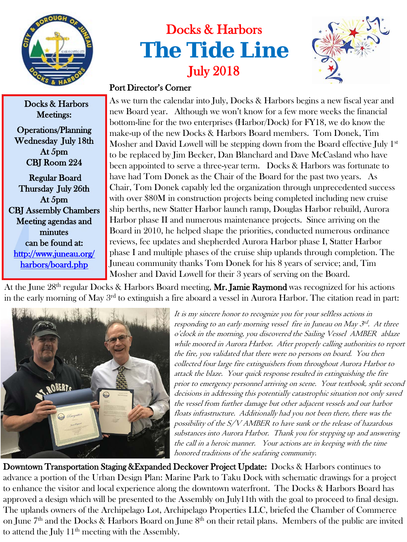

Docks & Harbors

## Docks & Harbors **The Tide Line** July 2018



## Port Director's Corner

As we turn the calendar into July, Docks & Harbors begins a new fiscal year and new Board year. Although we won't know for a few more weeks the financial bottom-line for the two enterprises (Harbor/Dock) for FY18, we do know the make-up of the new Docks & Harbors Board members. Tom Donek, Tim Mosher and David Lowell will be stepping down from the Board effective July 1<sup>st</sup> to be replaced by Jim Becker, Dan Blanchard and Dave McCasland who have been appointed to serve a three-year term. Docks & Harbors was fortunate to have had Tom Donek as the Chair of the Board for the past two years. As Chair, Tom Donek capably led the organization through unprecedented success with over \$80M in construction projects being completed including new cruise ship berths, new Statter Harbor launch ramp, Douglas Harbor rebuild, Aurora Harbor phase II and numerous maintenance projects. Since arriving on the Board in 2010, he helped shape the priorities, conducted numerous ordinance reviews, fee updates and shepherded Aurora Harbor phase I, Statter Harbor phase I and multiple phases of the cruise ship uplands through completion. The Juneau community thanks Tom Donek for his 8 years of service; and, Tim Mosher and David Lowell for their 3 years of serving on the Board.

At the June  $28^{\rm th}$  regular Docks & Harbors Board meeting, **Mr. Jamie Raymond** was recognized for his actions in the early morning of May 3<sup>rd</sup> to extinguish a fire aboard a vessel in Aurora Harbor. The citation read in part:



It is my sincere honor to recognize you for your selfless actions in responding to an early morning vessel fire in Juneau on May 3rd. At three <sup>o</sup>'clock in the morning, you discovered the Sailing Vessel AMBER ablaze while moored in Aurora Harbor. After properly calling authorities to report the fire, you validated that there were no persons on board. You then collected four large fire extinguishers from throughout Aurora Harbor to attack the blaze. Your quick response resulted in extinguishing the fire prior to emergency personnel arriving on scene. Your textbook, split second decisions in addressing this potentially catastrophic situation not only saved the vessel from further damage but other adjacent vessels and our harbor floats infrastructure. Additionally had you not been there, there was the possibility of the S/V AMBER to have sunk or the release of hazardous substances into Aurora Harbor. Thank you for stepping up and answering the call in a heroic manner. Your actions are in keeping with the time honored traditions of the seafaring community.

Downtown Transportation Staging &Expanded Deckover Project Update: Docks & Harbors continues to advance a portion of the Urban Design Plan: Marine Park to Taku Dock with schematic drawings for a project to enhance the visitor and local experience along the downtown waterfront. The Docks & Harbors Board has approved a design which will be presented to the Assembly on July11th with the goal to proceed to final design. The uplands owners of the Archipelago Lot, Archipelago Properties LLC, briefed the Chamber of Commerce on June 7<sup>th</sup> and the Docks & Harbors Board on June 8<sup>th</sup> on their retail plans. Members of the public are invited to attend the July 11<sup>th</sup> meeting with the Assembly.

Meetings: Operations/Planning Wednesday July 18th At 5pm CBJ Room 224 Regular Board Thursday July 26th At 5pm

CBJ Assembly Chambers Meeting agendas and minutes can be found at: [http://www.juneau.org/](http://www.juneau.org/harbors/board.php)  [harbors/board.php](http://www.juneau.org/harbors/board.php)